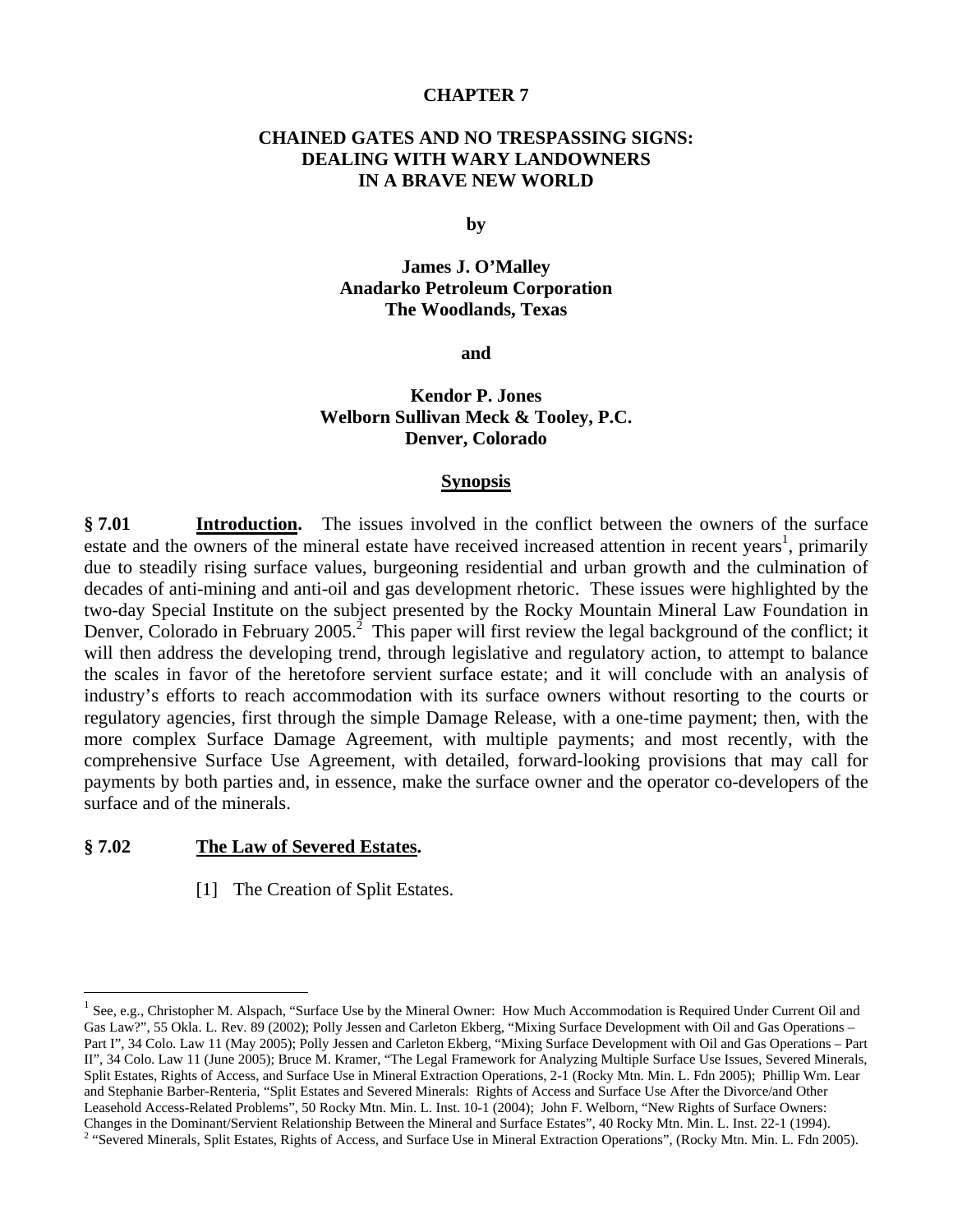### **CHAPTER 7**

# **CHAINED GATES AND NO TRESPASSING SIGNS: DEALING WITH WARY LANDOWNERS IN A BRAVE NEW WORLD**

**by** 

**James J. O'Malley Anadarko Petroleum Corporation The Woodlands, Texas** 

**and** 

# **Kendor P. Jones Welborn Sullivan Meck & Tooley, P.C. Denver, Colorado**

#### **Synopsis**

**§ 7.01 Introduction.** The issues involved in the conflict between the owners of the surface estate and the owners of the mineral estate have received increased attention in recent years<sup>1</sup>, primarily due to steadily rising surface values, burgeoning residential and urban growth and the culmination of decades of anti-mining and anti-oil and gas development rhetoric. These issues were highlighted by the two-day Special Institute on the subject presented by the Rocky Mountain Mineral Law Foundation in Denver, Colorado in February 2005.<sup>2</sup> This paper will first review the legal background of the conflict; it will then address the developing trend, through legislative and regulatory action, to attempt to balance the scales in favor of the heretofore servient surface estate; and it will conclude with an analysis of industry's efforts to reach accommodation with its surface owners without resorting to the courts or regulatory agencies, first through the simple Damage Release, with a one-time payment; then, with the more complex Surface Damage Agreement, with multiple payments; and most recently, with the comprehensive Surface Use Agreement, with detailed, forward-looking provisions that may call for payments by both parties and, in essence, make the surface owner and the operator co-developers of the surface and of the minerals.

### **§ 7.02 The Law of Severed Estates.**

1

[1] The Creation of Split Estates.

 $1$  See, e.g., Christopher M. Alspach, "Surface Use by the Mineral Owner: How Much Accommodation is Required Under Current Oil and Gas Law?", 55 Okla. L. Rev. 89 (2002); Polly Jessen and Carleton Ekberg, "Mixing Surface Development with Oil and Gas Operations – Part I", 34 Colo. Law 11 (May 2005); Polly Jessen and Carleton Ekberg, "Mixing Surface Development with Oil and Gas Operations – Part II", 34 Colo. Law 11 (June 2005); Bruce M. Kramer, "The Legal Framework for Analyzing Multiple Surface Use Issues, Severed Minerals, Split Estates, Rights of Access, and Surface Use in Mineral Extraction Operations, 2-1 (Rocky Mtn. Min. L. Fdn 2005); Phillip Wm. Lear and Stephanie Barber-Renteria, "Split Estates and Severed Minerals: Rights of Access and Surface Use After the Divorce/and Other Leasehold Access-Related Problems", 50 Rocky Mtn. Min. L. Inst. 10-1 (2004); John F. Welborn, "New Rights of Surface Owners: Changes in the Dominant/Servient Relationship Between the Mineral and Surface Estates", 40 Rocky Mtn. Min. L. Inst. 22-1 (1994). 2 <sup>2</sup> "Severed Minerals, Split Estates, Rights of Access, and Surface Use in Mineral Extraction Operations", (Rocky Mtn. Min. L. Fdn 2005).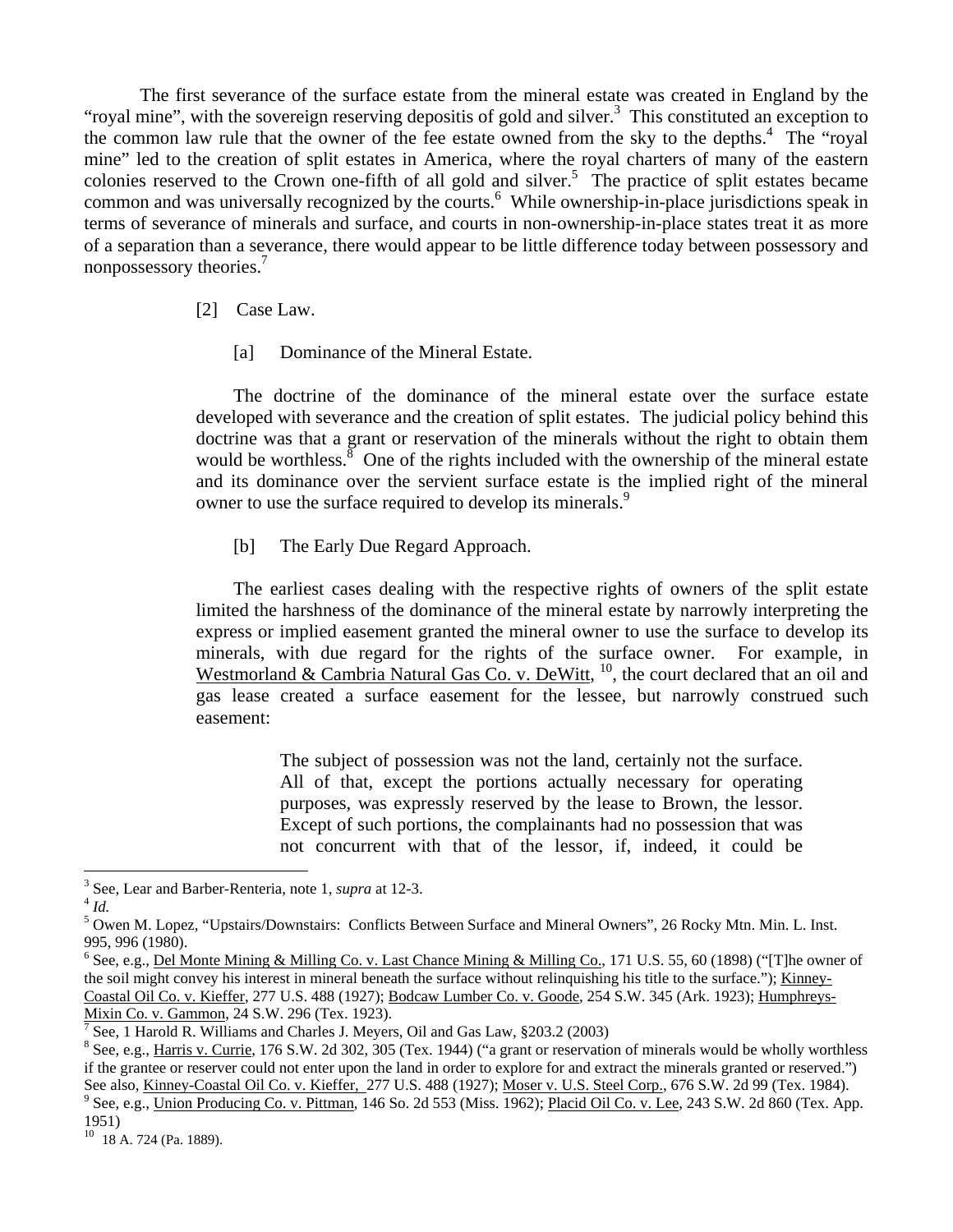The first severance of the surface estate from the mineral estate was created in England by the "royal mine", with the sovereign reserving depositis of gold and silver. $3$  This constituted an exception to the common law rule that the owner of the fee estate owned from the sky to the depths.<sup>4</sup> The "royal" mine" led to the creation of split estates in America, where the royal charters of many of the eastern colonies reserved to the Crown one-fifth of all gold and silver.<sup>5</sup> The practice of split estates became common and was universally recognized by the courts.<sup>6</sup> While ownership-in-place jurisdictions speak in terms of severance of minerals and surface, and courts in non-ownership-in-place states treat it as more of a separation than a severance, there would appear to be little difference today between possessory and nonpossessory theories.<sup>7</sup>

### [2] Case Law.

[a] Dominance of the Mineral Estate.

 The doctrine of the dominance of the mineral estate over the surface estate developed with severance and the creation of split estates. The judicial policy behind this doctrine was that a grant or reservation of the minerals without the right to obtain them would be worthless.<sup>8</sup> One of the rights included with the ownership of the mineral estate and its dominance over the servient surface estate is the implied right of the mineral owner to use the surface required to develop its minerals.<sup>9</sup>

[b] The Early Due Regard Approach.

 The earliest cases dealing with the respective rights of owners of the split estate limited the harshness of the dominance of the mineral estate by narrowly interpreting the express or implied easement granted the mineral owner to use the surface to develop its minerals, with due regard for the rights of the surface owner. For example, in Westmorland & Cambria Natural Gas Co. v. DeWitt,  $^{10}$ , the court declared that an oil and gas lease created a surface easement for the lessee, but narrowly construed such easement:

> The subject of possession was not the land, certainly not the surface. All of that, except the portions actually necessary for operating purposes, was expressly reserved by the lease to Brown, the lessor. Except of such portions, the complainants had no possession that was not concurrent with that of the lessor, if, indeed, it could be

1

<sup>3</sup> See, Lear and Barber-Renteria, note 1, *supra* at 12-3. 4 *Id.*

<sup>&</sup>lt;sup>5</sup> Owen M. Lopez, "Upstairs/Downstairs: Conflicts Between Surface and Mineral Owners", 26 Rocky Mtn. Min. L. Inst. 995, 996 (1980).

<sup>&</sup>lt;sup>6</sup> See, e.g., <u>Del Monte Mining & Milling Co. v. Last Chance Mining & Milling Co.</u>, 171 U.S. 55, 60 (1898) ("[T]he owner of the soil might convey his interest in mineral beneath the surface without relinquishing his title to the surface."); Kinney-Coastal Oil Co. v. Kieffer, 277 U.S. 488 (1927); Bodcaw Lumber Co. v. Goode, 254 S.W. 345 (Ark. 1923); Humphreys-Mixin Co. v. Gammon, 24 S.W. 296 (Tex. 1923). 7

See, 1 Harold R. Williams and Charles J. Meyers, Oil and Gas Law, §203.2 (2003)

<sup>&</sup>lt;sup>8</sup> See, e.g., Harris v. Currie, 176 S.W. 2d 302, 305 (Tex. 1944) ("a grant or reservation of minerals would be wholly worthless if the grantee or reserver could not enter upon the land in order to explore for and extract the minerals granted or reserved.") See also, *Kinney-Coastal Oil Co. v. Kieffer, 277 U.S.* 488 (1927); *Moser v. U.S. Steel Corp.*, 676 S.W. 2d 99 (Tex. 1984).

<sup>&</sup>lt;sup>9</sup> See, e.g., Union Producing Co. v. Pittman, 146 So. 2d 553 (Miss. 1962); Placid Oil Co. v. Lee, 243 S.W. 2d 860 (Tex. App. 1951)

<sup>10 18</sup> A. 724 (Pa. 1889).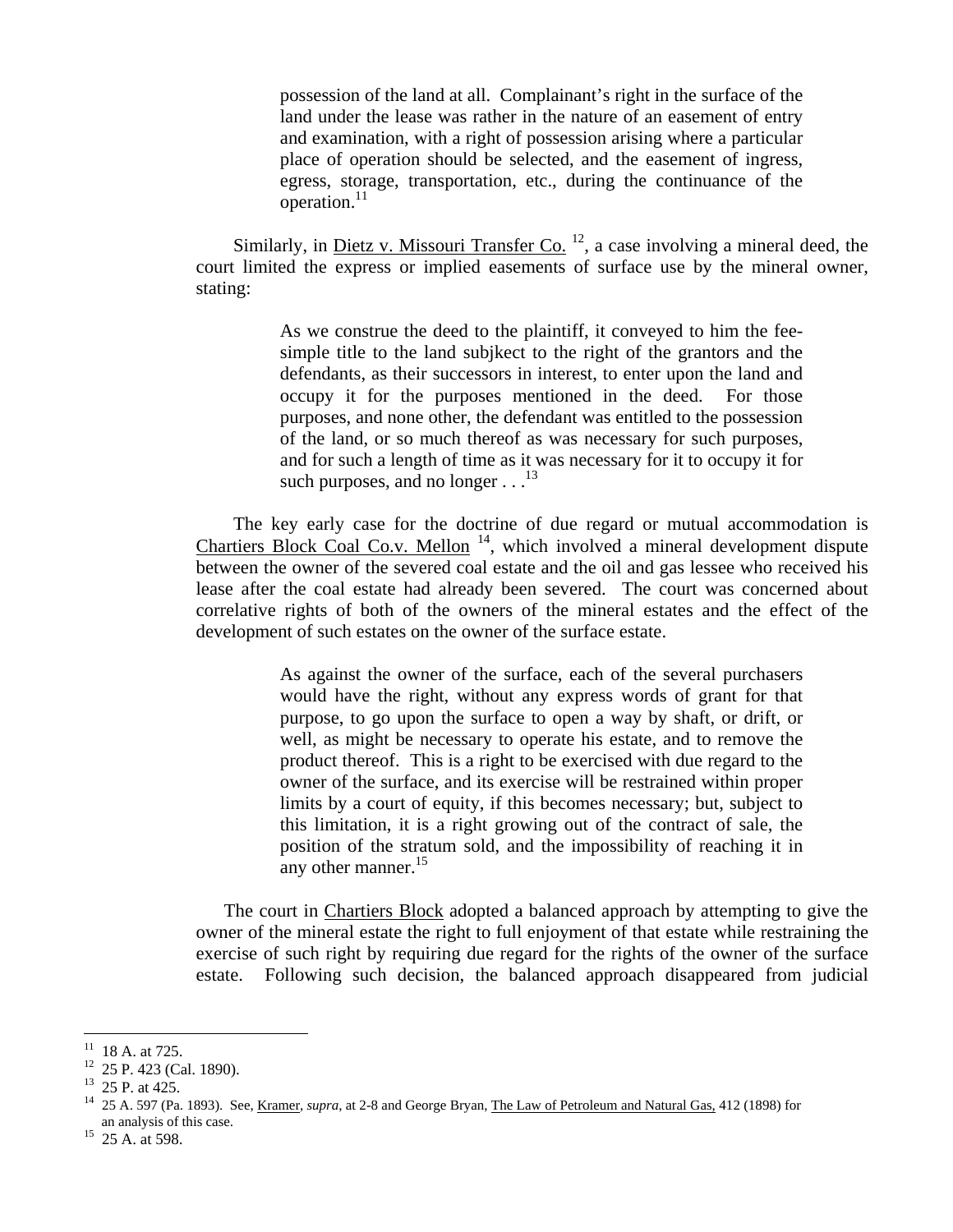possession of the land at all. Complainant's right in the surface of the land under the lease was rather in the nature of an easement of entry and examination, with a right of possession arising where a particular place of operation should be selected, and the easement of ingress, egress, storage, transportation, etc., during the continuance of the operation.<sup>11</sup>

Similarly, in <u>Dietz v. Missouri Transfer Co.</u>  $^{12}$ , a case involving a mineral deed, the court limited the express or implied easements of surface use by the mineral owner, stating:

> As we construe the deed to the plaintiff, it conveyed to him the feesimple title to the land subjkect to the right of the grantors and the defendants, as their successors in interest, to enter upon the land and occupy it for the purposes mentioned in the deed. For those purposes, and none other, the defendant was entitled to the possession of the land, or so much thereof as was necessary for such purposes, and for such a length of time as it was necessary for it to occupy it for such purposes, and no longer  $\dots$ <sup>13</sup>

 The key early case for the doctrine of due regard or mutual accommodation is Chartiers Block Coal Co.v. Mellon  $14$ , which involved a mineral development dispute between the owner of the severed coal estate and the oil and gas lessee who received his lease after the coal estate had already been severed. The court was concerned about correlative rights of both of the owners of the mineral estates and the effect of the development of such estates on the owner of the surface estate.

> As against the owner of the surface, each of the several purchasers would have the right, without any express words of grant for that purpose, to go upon the surface to open a way by shaft, or drift, or well, as might be necessary to operate his estate, and to remove the product thereof. This is a right to be exercised with due regard to the owner of the surface, and its exercise will be restrained within proper limits by a court of equity, if this becomes necessary; but, subject to this limitation, it is a right growing out of the contract of sale, the position of the stratum sold, and the impossibility of reaching it in any other manner.<sup>15</sup>

The court in Chartiers Block adopted a balanced approach by attempting to give the owner of the mineral estate the right to full enjoyment of that estate while restraining the exercise of such right by requiring due regard for the rights of the owner of the surface estate. Following such decision, the balanced approach disappeared from judicial

 $\overline{a}$ 

<sup>18</sup> A. at 725.

<sup>&</sup>lt;sup>12</sup> 25 P. 423 (Cal. 1890).

<sup>13 25</sup> P. at 425.

<sup>14 25</sup> A. 597 (Pa. 1893). See, Kramer, *supra*, at 2-8 and George Bryan, The Law of Petroleum and Natural Gas, 412 (1898) for an analysis of this case.

 $15$  25 A. at 598.